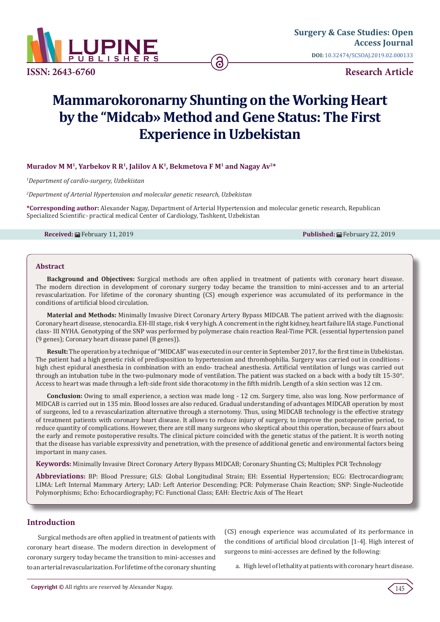

**[Surgery & Case Studies: Open](https://lupinepublishers.com/surgery-case-studies-journal/)  Access Journal DOI:** [10.32474/SCSOAJ.2019.02.000133](http://dx.doi.org/10.32474/SCSOAJ.2019.02.000133)

**Research Article** 

# **Mammarokoronarny Shunting on the Working Heart by the "Midcab» Method and Gene Status: The First Experience in Uzbekistan**

## Muradov M M<sup>1</sup>, Yarbekov R R<sup>1</sup>, Jalilov A K<sup>1</sup>, Bekmetova F M<sup>1</sup> and Nagav Av<sup>2\*</sup>

*1 Department of cardio-surgery, Uzbekistan*

*2 Department of Arterial Hypertension and molecular genetic research, Uzbekistan*

**\*Corresponding author:** Alexander Nagay, Department of Arterial Hypertension and molecular genetic research, Republican Specialized Scientific- practical medical Center of Cardiology, Tashkent, Uzbekistan

**Received:** February 11, 2019 **Published:** February 22, 2019

#### **Abstract**

**Background and Objectives:** Surgical methods are often applied in treatment of patients with coronary heart disease. The modern direction in development of coronary surgery today became the transition to mini-accesses and to an arterial revascularization. For lifetime of the coronary shunting (CS) enough experience was accumulated of its performance in the conditions of artificial blood circulation.

**Material and Methods:** Minimally Invasive Direct Coronary Artery Bypass MIDCAB. The patient arrived with the diagnosis: Coronary heart disease, stenocardia. EH-III stage, risk 4 very high. A concrement in the right kidney, heart failure IIA stage. Functional class- III NYHA. Genotyping of the SNP was performed by polymerase chain reaction Real-Time PCR. (essential hypertension panel (9 genes); Coronary heart disease panel (8 genes)).

**Result:** The operation by a technique of "MIDCAB" was executed in our center in September 2017, for the first time in Uzbekistan. The patient had a high genetic risk of predisposition to hypertension and thrombophilia. Surgery was carried out in conditions high chest epidural anesthesia in combination with an endo- tracheal anesthesia. Artificial ventilation of lungs was carried out through an intubation tube in the two-pulmonary mode of ventilation. The patient was stacked on a back with a body tilt 15-30°. Access to heart was made through a left-side front side thoracotomy in the fifth midrib. Length of a skin section was 12 cm.

**Conclusion:** Owing to small experience, a section was made long - 12 cm. Surgery time, also was long. Now performance of MIDCAB is carried out in 135 min. Blood losses are also reduced. Gradual understanding of advantages MIDCAB operation by most of surgeons, led to a revascularization alternative through a sternotomy. Thus, using MIDCAB technology is the effective strategy of treatment patients with coronary heart disease. It allows to reduce injury of surgery, to improve the postoperative period, to reduce quantity of complications. However, there are still many surgeons who skeptical about this operation, because of fears about the early and remote postoperative results. The clinical picture coincided with the genetic status of the patient. It is worth noting that the disease has variable expressivity and penetration, with the presence of additional genetic and environmental factors being important in many cases.

**Keywords:** Minimally Invasive Direct Coronary Artery Bypass MIDCAB; Coronary Shunting CS; Multiplex PCR Technology

**Abbreviations:** BP: Blood Pressure; GLS: Global Longitudinal Strain; EH: Essential Hypertension; ECG: Electrocardiogram; LIMA: Left Internal Mammary Artery; LAD: Left Anterior Descending; PCR: Polymerase Chain Reaction; SNP: Single-Nucleotide Polymorphisms; Echo: Echocardiography; FC: Functional Class; EAH: Electric Axis of The Heart

## **Introduction**

Surgical methods are often applied in treatment of patients with coronary heart disease. The modern direction in development of coronary surgery today became the transition to mini-accesses and to an arterial revascularization. For lifetime of the coronary shunting (CS) enough experience was accumulated of its performance in the conditions of artificial blood circulation [1-4]. High interest of surgeons to mini-accesses are defined by the following:

a. High level of lethality at patients with coronary heart disease.

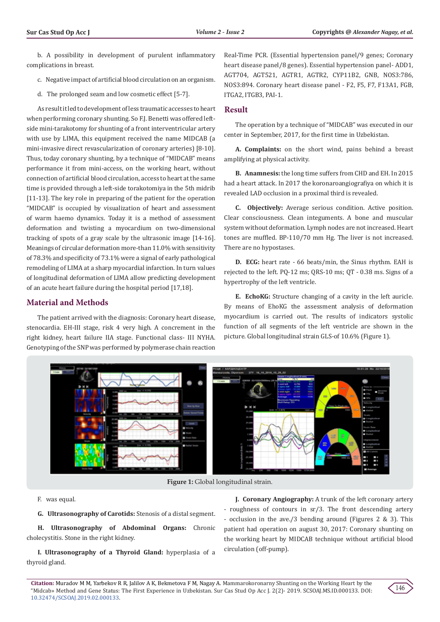b. A possibility in development of purulent inflammatory complications in breast.

- c. Negative impact of artificial blood circulation on an organism.
- d. The prolonged seam and low cosmetic effect [5-7].

As result it led to development of less traumatic accesses to heart when performing coronary shunting. So F.J. Benetti was offered leftside mini-tarakotomy for shunting of a front interventricular artery with use by LIMA, this equipment received the name MIDCAB (a mini-invasive direct revascularization of coronary arteries) [8-10]. Thus, today coronary shunting, by a technique of "MIDCAB" means performance it from mini-access, on the working heart, without connection of artificial blood circulation, access to heart at the same time is provided through a left-side torakotomiya in the 5th midrib [11-13]. The key role in preparing of the patient for the operation "MIDCAB" is occupied by visualization of heart and assessment of warm haemo dynamics. Today it is a method of assessment deformation and twisting a myocardium on two-dimensional tracking of spots of a gray scale by the ultrasonic image [14-16]. Meanings of circular deformation more-than 11.0% with sensitivity of 78.3% and specificity of 73.1% were a signal of early pathological remodeling of LIMA at a sharp myocardial infarction. In turn values of longitudinal deformation of LIMA allow predicting development of an acute heart failure during the hospital period [17,18].

# **Material and Methods**

The patient arrived with the diagnosis: Coronary heart disease, stenocardia. EH-III stage, risk 4 very high. A concrement in the right kidney, heart failure IIA stage. Functional class- III NYHA. Genotyping of the SNP was performed by polymerase chain reaction

Real-Time PCR. (Essential hypertension panel/9 genes; Coronary heart disease panel/8 genes). Essential hypertension panel- ADD1, AGT704, AGT521, AGTR1, AGTR2, CYP11B2, GNB, NOS3:786, NOS3:894. Coronary heart disease panel - F2, F5, F7, F13A1, FGB, ITGA2, ITGB3, PAI-1.

# **Result**

The operation by a technique of "MIDCAB" was executed in our center in September, 2017, for the first time in Uzbekistan.

**A. Complaints:** on the short wind, pains behind a breast amplifying at physical activity.

**B. Anamnesis:** the long time suffers from CHD and EH. In 2015 had a heart attack. In 2017 the koronaroangiografiya on which it is revealed LAD occlusion in a proximal third is revealed.

**C. Objectively:** Average serious condition. Active position. Clear consciousness. Clean integuments. A bone and muscular system without deformation. Lymph nodes are not increased. Heart tones are muffled. BP-110/70 mm Hg. The liver is not increased. There are no hypostases.

**D. ECG:** heart rate - 66 beats/min, the Sinus rhythm. EAH is rejected to the left. PQ-12 ms; QRS-10 ms; QT - 0.38 ms. Signs of a hypertrophy of the left ventricle.

**E. EchoKG:** Structure changing of a cavity in the left auricle. By means of EhoKG the assessment analysis of deformation myocardium is carried out. The results of indicators systolic function of all segments of the left ventricle are shown in the picture. Global longitudinal strain GLS-of 10.6% (Figure 1).



**Figure 1:** Global longitudinal strain.

F. was equal.

**G. Ultrasonography of Carotids:** Stenosis of a distal segment.

**H. Ultrasonography of Abdominal Organs:** Chronic cholecystitis. Stone in the right kidney.

**I. Ultrasonography of a Thyroid Gland:** hyperplasia of a thyroid gland.

**J. Coronary Angiography:** A trunk of the left coronary artery - roughness of contours in sr/3. The front descending artery - occlusion in the ave./3 bending around (Figures 2 & 3). This patient had operation on august 30, 2017: Coronary shunting on the working heart by MIDCAB technique without artificial blood circulation (off-pump).

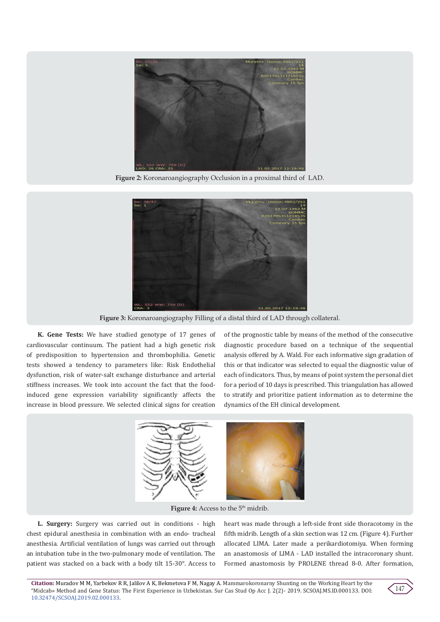

**Figure 2:** Koronaroangiography Occlusion in a proximal third of LAD.



**Figure 3:** Koronaroangiography Filling of a distal third of LAD through collateral.

**K. Gene Tests:** We have studied genotype of 17 genes of cardiovascular continuum. The patient had a high genetic risk of predisposition to hypertension and thrombophilia. Genetic tests showed a tendency to parameters like: Risk Endothelial dysfunction, risk of water-salt exchange disturbance and arterial stiffness increases. We took into account the fact that the foodinduced gene expression variability significantly affects the increase in blood pressure. We selected clinical signs for creation

of the prognostic table by means of the method of the consecutive diagnostic procedure based on a technique of the sequential analysis offered by A. Wald. For each informative sign gradation of this or that indicator was selected to equal the diagnostic value of each of indicators. Thus, by means of point system the personal diet for a period of 10 days is prescribed. This triangulation has allowed to stratify and prioritize patient information as to determine the dynamics of the EH clinical development.



**Figure 4:** Access to the 5<sup>th</sup> midrib.

**L. Surgery:** Surgery was carried out in conditions - high chest epidural anesthesia in combination with an endo- tracheal anesthesia. Artificial ventilation of lungs was carried out through an intubation tube in the two-pulmonary mode of ventilation. The patient was stacked on a back with a body tilt 15-30°. Access to

heart was made through a left-side front side thoracotomy in the fifth midrib. Length of a skin section was 12 cm. (Figure 4). Further allocated LIMA. Later made a perikardiotomiya. When forming an anastomosis of LIMA - LAD installed the intracoronary shunt. Formed anastomosis by PROLENE thread 8-0. After formation,

**Citation:** Muradov M M, Yarbekov R R, Jalilov A K, Bekmetova F M, Nagay A. Mammarokoronarny Shunting on the Working Heart by the "Midcab» Method and Gene Status: The First Experience in Uzbekistan. Sur Cas Stud Op Acc J. 2(2)- 2019. SCSOAJ.MS.ID.000133. DOI: [10.32474/SCSOAJ.2019.02.000133](http://dx.doi.org/10.32474/SCSOAJ.2019.02.000133).

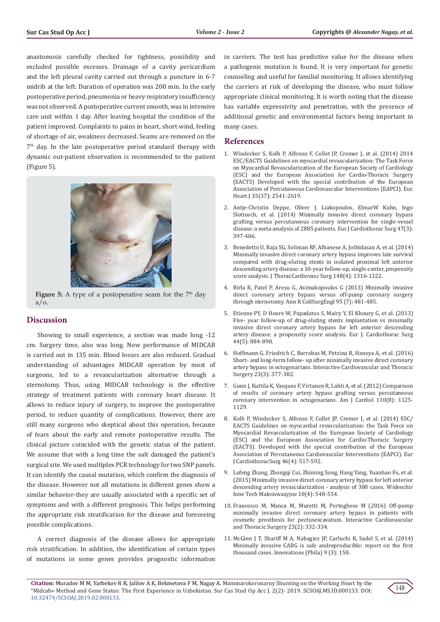anastomosis carefully checked for tightness, possibility and excluded possible excesses. Drainage of a cavity pericardium and the left pleural cavity carried out through a puncture in 6-7 midrib at the left. Duration of operation was 200 min. In the early postoperative period, pneumonia or heavy respiratory insufficiency was not observed. A postoperative current smooth, was in intensive care unit within 1 day. After leaving hospital the condition of the patient improved. Complaints to pains in heart, short wind, feeling of shortage of air, weakness decreased. Seams are removed on the  $7<sup>th</sup>$  day. In the late postoperative period standard therapy with dynamic out-patient observation is recommended to the patient (Figure 5).



**Figure 5:** A type of a postoperative seam for the 7<sup>th</sup> day  $a/o.$ 

#### **Discussion**

Showing to small experience, a section was made long -12 cm. Surgery time, also was long. Now performance of MIDCAB is carried out in 135 min. Blood losses are also reduced. Gradual understanding of advantages MIDCAB operation by most of surgeons, led to a revascularization alternative through a sternotomy. Thus, using MIDCAB technology is the effective strategy of treatment patients with coronary heart disease. It allows to reduce injury of surgery, to improve the postoperative period, to reduce quantity of complications. However, there are still many surgeons who skeptical about this operation, because of fears about the early and remote postoperative results. The clinical picture coincided with the genetic status of the patient. We assume that with a long time the salt damaged the patient's surgical site. We used multiplex PCR technology for two SNP panels. It can identify the causal mutation, which confirm the diagnosis of the disease. However not all mutations in different genes show a similar behavior-they are usually associated with a specific set of symptoms and with a different prognosis. This helps performing the appropriate risk stratification for the disease and foreseeing possible complications.

A correct diagnosis of the disease allows for appropriate risk stratification. In addition, the identification of certain types of mutations in some genes provides prognostic information

in carriers. The test has predictive value for the disease when a pathogenic mutation is found. It is very important for genetic counseling and useful for familial monitoring. It allows identifying the carriers at risk of developing the disease, who must follow appropriate clinical monitoring. It is worth noting that the disease has variable expressivity and penetration, with the presence of additional genetic and environmental factors being important in many cases.

## **References**

- 1. [Windecker S, Kolh P, Alfonso F, Collet JP, Cremer J, et al. \(2014\) 2014](https://www.ncbi.nlm.nih.gov/pubmed/25173339) [ESC/EACTS Guidelines on myocardial revascularization: The Task Force](https://www.ncbi.nlm.nih.gov/pubmed/25173339) [on Myocardial Revascularization of the European Society of Cardiology](https://www.ncbi.nlm.nih.gov/pubmed/25173339) [\(ESC\) and the European Association for Cardio-Thoracic Surgery](https://www.ncbi.nlm.nih.gov/pubmed/25173339) [\(EACTS\) Developed with the special contribution of the European](https://www.ncbi.nlm.nih.gov/pubmed/25173339) [Association of Percutaneous Cardiovascular Interventions \(EAPCI\). Eur.](https://www.ncbi.nlm.nih.gov/pubmed/25173339) [Heart J 35\(37\): 2541-2619.](https://www.ncbi.nlm.nih.gov/pubmed/25173339)
- 2. [Antje-Christin Deppe, Oliver J. Liakopoulos, ElmarW Kuhn, Ingo](https://www.ncbi.nlm.nih.gov/pubmed/25100715) [Slottosch, et al. \(2014\) Minimally invasive direct coronary bypass](https://www.ncbi.nlm.nih.gov/pubmed/25100715) [grafting versus percutaneous coronary intervention for single-vessel](https://www.ncbi.nlm.nih.gov/pubmed/25100715) [disease: a meta-analysis of 2885 patients. Eur J Cardiothorac Surg 47\(3\):](https://www.ncbi.nlm.nih.gov/pubmed/25100715) [397-406.](https://www.ncbi.nlm.nih.gov/pubmed/25100715)
- 3. [Benedetto U, Raja SG, Soliman RF, Albanese A, Jothidasan A, et al. \(2014\)](https://www.ncbi.nlm.nih.gov/pubmed/24521955) [Minimally invasive direct coronary artery bypass improves late survival](https://www.ncbi.nlm.nih.gov/pubmed/24521955) [compared with drug-eluting stents in isolated proximal left anterior](https://www.ncbi.nlm.nih.gov/pubmed/24521955) [descending artery disease: a 10-year follow-up, single-center, propensity](https://www.ncbi.nlm.nih.gov/pubmed/24521955) [score analysis. J ThoracCardiovasc Surg 148\(4\): 1316-1322.](https://www.ncbi.nlm.nih.gov/pubmed/24521955)
- 4. [Birla R, Patel P, Aresu G, Asimakopoulos G \(2013\) Minimally invasive](https://www.ncbi.nlm.nih.gov/pmc/articles/PMC5827271/) [direct coronary artery bypass versus off-pump coronary surgery](https://www.ncbi.nlm.nih.gov/pmc/articles/PMC5827271/) [through sternotomy. Ann R CollSurgEngl 95 \(7\): 481-485.](https://www.ncbi.nlm.nih.gov/pmc/articles/PMC5827271/)
- 5. [Etienne PY, D Hoore W, Papadatos S, Mairy Y, El Khoury G, et al. \(2013\)](https://academic.oup.com/ejcts/article/44/5/884/351541) [Five- year follow-up of drug-eluting stents implantation vs minimally](https://academic.oup.com/ejcts/article/44/5/884/351541) [invasive direct coronary artery bypass for left anterior descending](https://academic.oup.com/ejcts/article/44/5/884/351541) [artery disease: a propensity score analysis. Eur J. Cardiothorac Surg](https://academic.oup.com/ejcts/article/44/5/884/351541) [44\(5\): 884-890.](https://academic.oup.com/ejcts/article/44/5/884/351541)
- 6. [Hoffmann G, Friedrich C, Barrabas M, Petzina R, Haneya A, et al. \(2016\)](https://www.ncbi.nlm.nih.gov/pubmed/27209534) [Short- and long-term follow- up after minimally invasive direct coronary](https://www.ncbi.nlm.nih.gov/pubmed/27209534) [artery bypass in octogenarians. Interactive Cardiovascular and Thoracic](https://www.ncbi.nlm.nih.gov/pubmed/27209534) [Surgery 23\(3\): 377-382.](https://www.ncbi.nlm.nih.gov/pubmed/27209534)
- 7. [Gunn J, Kuttila K, Vasques F, Virtanen R, Lahti A, et al. \(2012\) Comparison](https://www.ncbi.nlm.nih.gov/pubmed/22762714) [of results of coronary artery bypass grafting versus percutaneous](https://www.ncbi.nlm.nih.gov/pubmed/22762714) [coronary intervention in octogenarians. Am J Cardiol 110\(8\): 1125-](https://www.ncbi.nlm.nih.gov/pubmed/22762714) [1129.](https://www.ncbi.nlm.nih.gov/pubmed/22762714)
- 8. [Kolh P, Windecker S, Alfonso F, Collet JP, Cremer J, et al. \(2014\) ESC/](https://www.ncbi.nlm.nih.gov/pubmed/25173601) [EACTS Guidelines on myocardial revascularization: the Task Force on](https://www.ncbi.nlm.nih.gov/pubmed/25173601) [Myocardial Revascularization of the European Society of Cardiology](https://www.ncbi.nlm.nih.gov/pubmed/25173601) [\(ESC\) and the European Association for Cardio-Thoracic Surgery](https://www.ncbi.nlm.nih.gov/pubmed/25173601) [\(EACTS\). Developed with the special contribution of the European](https://www.ncbi.nlm.nih.gov/pubmed/25173601) [Association of Percutaneous Cardiovascular Interventions \(EAPCI\). Eur](https://www.ncbi.nlm.nih.gov/pubmed/25173601) [J CardiothoracSurg 46\(4\): 517-592.](https://www.ncbi.nlm.nih.gov/pubmed/25173601)
- 9. [Lufeng Zhang, Zhongqi Cui, Zhiming Song, Hang Yang, Yuanhao Fu, et al.](https://www.ncbi.nlm.nih.gov/pmc/articles/PMC4729728/) [\(2015\) Minimally invasive direct coronary artery bypass for left anterior](https://www.ncbi.nlm.nih.gov/pmc/articles/PMC4729728/) [descending artery revascularization - analysis of 300 cases.](https://www.ncbi.nlm.nih.gov/pmc/articles/PMC4729728/) Wideochir [Inne Tech Maloinwazyjne 10\(4\): 548-554.](https://www.ncbi.nlm.nih.gov/pmc/articles/PMC4729728/)
- 10. [Francesco M, Manca M, Muretti M, Portoghese M \(2016\) Off-pump](https://www.ncbi.nlm.nih.gov/pubmed/27170745) [minimally invasive direct coronary artery bypass in patients with](https://www.ncbi.nlm.nih.gov/pubmed/27170745) [cosmetic prosthesis for pectusexcavatum. Interactive Cardiovascular](https://www.ncbi.nlm.nih.gov/pubmed/27170745) [and Thoracic Surgery 23\(2\): 332-334](https://www.ncbi.nlm.nih.gov/pubmed/27170745).
- 11. McGinn J T, Shariff M A, Nabagiez JP, Carluchi R, Sadel S, et al. (2014) Minimally invasive CABG is safe andreproducible: report on the first thousand cases. Innovations (Phila) 9 (3): 158.